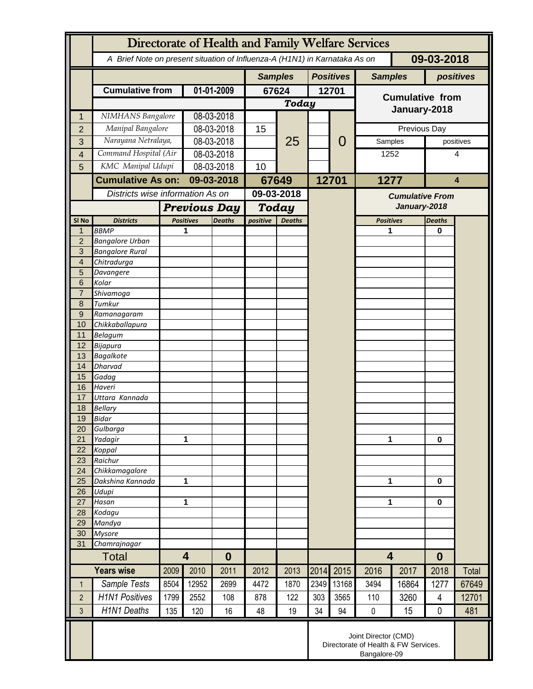|                     | Directorate of Health and Family Welfare Services                                        |                         |                     |                |                           |                  |      |                                        |                                        |           |               |              |
|---------------------|------------------------------------------------------------------------------------------|-------------------------|---------------------|----------------|---------------------------|------------------|------|----------------------------------------|----------------------------------------|-----------|---------------|--------------|
|                     | A Brief Note on present situation of Influenza-A (H1N1) in Karnataka As on<br>09-03-2018 |                         |                     |                |                           |                  |      |                                        |                                        |           |               |              |
|                     |                                                                                          |                         |                     | <b>Samples</b> |                           | <b>Positives</b> |      | <b>Samples</b>                         |                                        | positives |               |              |
|                     | <b>Cumulative from</b>                                                                   | 01-01-2009              |                     | 67624          |                           | 12701            |      |                                        |                                        |           |               |              |
|                     |                                                                                          |                         |                     |                | Today                     |                  |      | <b>Cumulative from</b><br>January-2018 |                                        |           |               |              |
| 1                   | NIMHANS Bangalore                                                                        |                         | 08-03-2018          |                |                           |                  |      |                                        |                                        |           |               |              |
| $\overline{2}$      | Manipal Bangalore                                                                        |                         | 08-03-2018          |                | 15                        | 25               |      | Previous Day                           |                                        |           |               |              |
| 3                   | Narayana Netralaya,                                                                      |                         | 08-03-2018          |                |                           |                  |      | 0                                      | Samples                                |           | positives     |              |
| $\overline{4}$      | Command Hospital (Air                                                                    |                         | 08-03-2018          |                |                           |                  |      |                                        | 1252                                   |           | 4             |              |
| 5                   | KMC Manipal Udupi                                                                        |                         | $08 - 03 - 2018$    |                | 10                        |                  |      |                                        |                                        |           |               |              |
|                     | <b>Cumulative As on:</b><br>Districts wise information As on                             |                         | 09-03-2018          |                |                           | 67649            |      | 12701                                  | 1277                                   |           | 4             |              |
|                     |                                                                                          |                         |                     |                | 09-03-2018                |                  |      |                                        |                                        |           |               |              |
|                     |                                                                                          |                         | <b>Previous Day</b> |                | Today                     |                  |      |                                        | <b>Cumulative From</b><br>January-2018 |           |               |              |
| SI <sub>No</sub>    | <b>Districts</b>                                                                         |                         | <b>Positives</b>    |                | positive<br><b>Deaths</b> |                  |      |                                        | <b>Positives</b>                       |           | <b>Deaths</b> |              |
| 1                   | <b>BBMP</b>                                                                              |                         | 1                   | <b>Deaths</b>  |                           |                  |      |                                        | 1                                      |           | 0             |              |
| $\overline{2}$      | <b>Bangalore Urban</b>                                                                   |                         |                     |                |                           |                  |      |                                        |                                        |           |               |              |
| 3                   | <b>Bangalore Rural</b>                                                                   |                         |                     |                |                           |                  |      |                                        |                                        |           |               |              |
| $\overline{4}$      | Chitradurga                                                                              |                         |                     |                |                           |                  |      |                                        |                                        |           |               |              |
| 5                   | Davangere                                                                                |                         |                     |                |                           |                  |      |                                        |                                        |           |               |              |
| 6<br>$\overline{7}$ | Kolar                                                                                    |                         |                     |                |                           |                  |      |                                        |                                        |           |               |              |
| 8                   | Shivamoga<br>Tumkur                                                                      |                         |                     |                |                           |                  |      |                                        |                                        |           |               |              |
| 9                   | Ramanagaram                                                                              |                         |                     |                |                           |                  |      |                                        |                                        |           |               |              |
| 10                  | Chikkaballapura                                                                          |                         |                     |                |                           |                  |      |                                        |                                        |           |               |              |
| 11                  | <b>Belagum</b>                                                                           |                         |                     |                |                           |                  |      |                                        |                                        |           |               |              |
| 12                  | Bijapura                                                                                 |                         |                     |                |                           |                  |      |                                        |                                        |           |               |              |
| 13                  | <b>Bagalkote</b>                                                                         |                         |                     |                |                           |                  |      |                                        |                                        |           |               |              |
| 14                  | <b>Dharvad</b>                                                                           |                         |                     |                |                           |                  |      |                                        |                                        |           |               |              |
| 15<br>16            | Gadag<br>Haveri                                                                          |                         |                     |                |                           |                  |      |                                        |                                        |           |               |              |
| 17                  | Uttara Kannada                                                                           |                         |                     |                |                           |                  |      |                                        |                                        |           |               |              |
| 18                  | <b>Bellary</b>                                                                           |                         |                     |                |                           |                  |      |                                        |                                        |           |               |              |
| 19                  | Bidar                                                                                    |                         |                     |                |                           |                  |      |                                        |                                        |           |               |              |
| 20                  | Gulbarga                                                                                 |                         |                     |                |                           |                  |      |                                        |                                        |           |               |              |
| 21                  | Yadagir                                                                                  |                         | 1                   |                |                           |                  |      |                                        | 1                                      |           | $\bf{0}$      |              |
| 22                  | Koppal                                                                                   |                         |                     |                |                           |                  |      |                                        |                                        |           |               |              |
| 23<br>24            | Raichur<br>Chikkamagalore                                                                |                         |                     |                |                           |                  |      |                                        |                                        |           |               |              |
| 25                  | Dakshina Kannada                                                                         | 1                       |                     |                |                           |                  |      |                                        | 1                                      |           | $\mathbf{0}$  |              |
| 26                  | Udupi                                                                                    |                         |                     |                |                           |                  |      |                                        |                                        |           |               |              |
| 27                  | Hasan                                                                                    | 1                       |                     |                |                           |                  |      |                                        | 1                                      |           | $\mathbf{0}$  |              |
| 28                  | Kodagu                                                                                   |                         |                     |                |                           |                  |      |                                        |                                        |           |               |              |
| 29                  | Mandya                                                                                   |                         |                     |                |                           |                  |      |                                        |                                        |           |               |              |
| 30                  | <b>Mysore</b>                                                                            |                         |                     |                |                           |                  |      |                                        |                                        |           |               |              |
| 31                  | Chamrajnagar                                                                             |                         |                     |                |                           |                  |      |                                        |                                        |           |               |              |
| <b>Total</b>        |                                                                                          | $\overline{\mathbf{4}}$ |                     | $\bf{0}$       |                           |                  |      |                                        | $\overline{\mathbf{4}}$                |           | $\bf{0}$      |              |
|                     | <b>Years wise</b>                                                                        | 2009                    | 2010                | 2011           | 2012                      | 2013             | 2014 | 2015                                   | 2016                                   | 2017      | 2018          | <b>Total</b> |
| $\mathbf{1}$        | Sample Tests                                                                             | 8504                    | 12952               | 2699           | 4472                      | 1870             | 2349 | 13168                                  | 3494                                   | 16864     | 1277          | 67649        |
| $\overline{2}$      | <b>H1N1 Positives</b>                                                                    | 1799                    | 2552                | 108            | 878                       | 122              | 303  | 3565                                   | 110                                    | 3260      | 4             | 12701        |
| 3                   | <b>H1N1 Deaths</b>                                                                       | 135                     | 120                 | 16             | 48                        | 19               | 34   | 94                                     | $\pmb{0}$                              | 15        | 0             | 481          |
|                     | Joint Director (CMD)<br>Directorate of Health & FW Services.<br>Bangalore-09             |                         |                     |                |                           |                  |      |                                        |                                        |           |               |              |